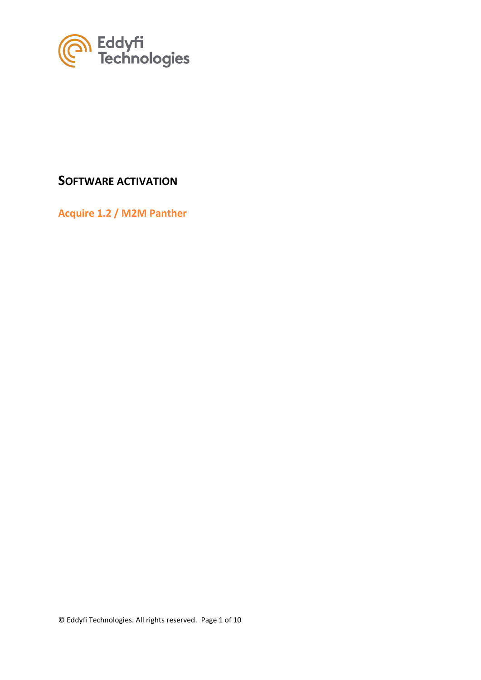

## **SOFTWARE ACTIVATION**

**Acquire 1.2 / M2M Panther**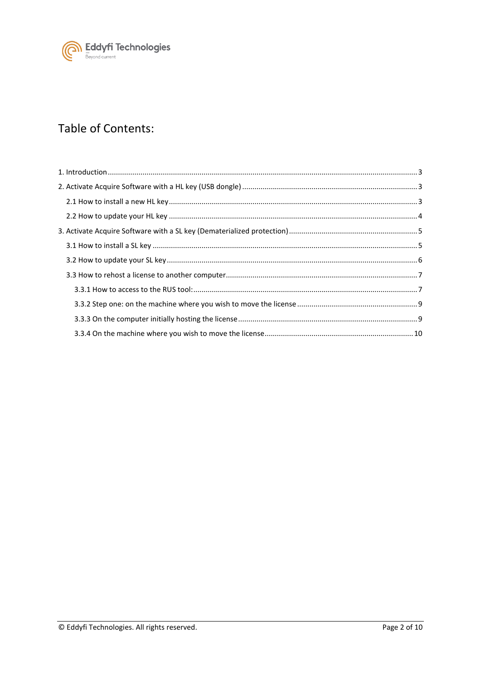

# Table of Contents: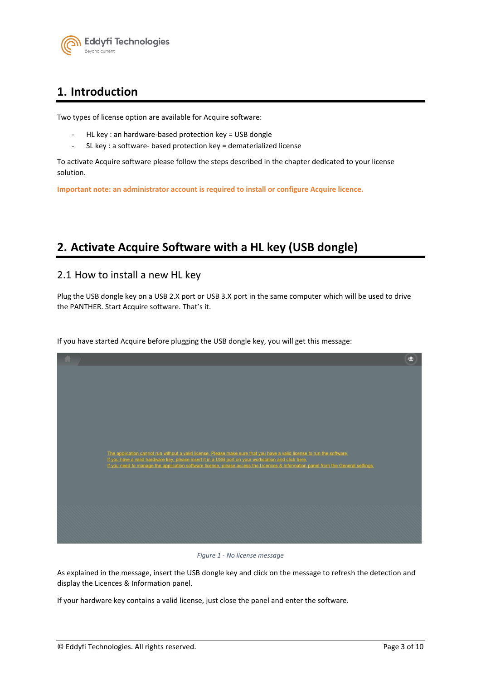

## <span id="page-2-0"></span>**1. Introduction**

Two types of license option are available for Acquire software:

- HL key : an hardware-based protection key = USB dongle
- SL key : a software- based protection key = dematerialized license

To activate Acquire software please follow the steps described in the chapter dedicated to your license solution.

**Important note: an administrator account is required to install or configure Acquire licence.**

## <span id="page-2-1"></span>**2. Activate Acquire Software with a HL key (USB dongle)**

### <span id="page-2-2"></span>2.1 How to install a new HL key

Plug the USB dongle key on a USB 2.X port or USB 3.X port in the same computer which will be used to drive the PANTHER. Start Acquire software. That's it.

If you have started Acquire before plugging the USB dongle key, you will get this message:



*Figure 1 - No license message*

As explained in the message, insert the USB dongle key and click on the message to refresh the detection and display the Licences & Information panel.

If your hardware key contains a valid license, just close the panel and enter the software.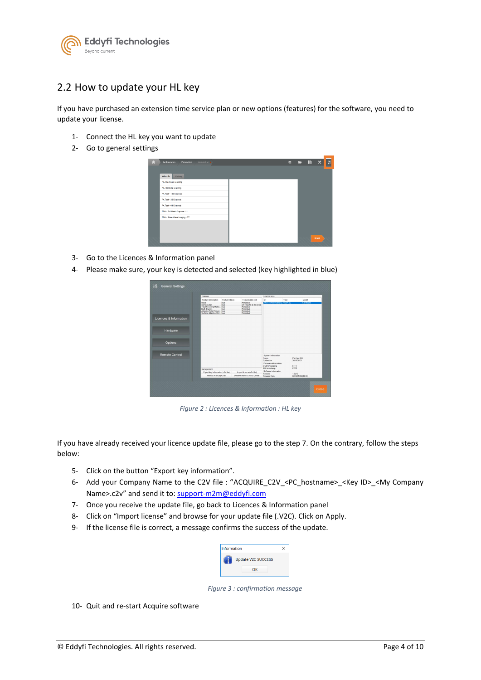

## <span id="page-3-0"></span>2.2 How to update your HL key

If you have purchased an extension time service plan or new options (features) for the software, you need to update your license.

- 1- Connect the HL key you want to update
- 2- Go to general settings



- 3- Go to the Licences & Information panel
- 4- Please make sure, your key is detected and selected (key highlighted in blue)



*Figure 2 : Licences & Information : HL key*

If you have already received your licence update file, please go to the step 7. On the contrary, follow the steps below:

- 5- Click on the button "Export key information".
- 6- Add your Company Name to the C2V file : "ACQUIRE\_C2V\_<PC\_hostname>\_<Key ID>\_<My Company Name>.c2v" and send it to: [support-m2m@eddyfi.com](mailto:support-m2m@eddyfi.com)
- 7- Once you receive the update file, go back to Licences & Information panel
- 8- Click on "Import license" and browse for your update file (.V2C). Click on Apply.
- 9- If the license file is correct, a message confirms the success of the update.



*Figure 3 : confirmation message*

10- Quit and re-start Acquire software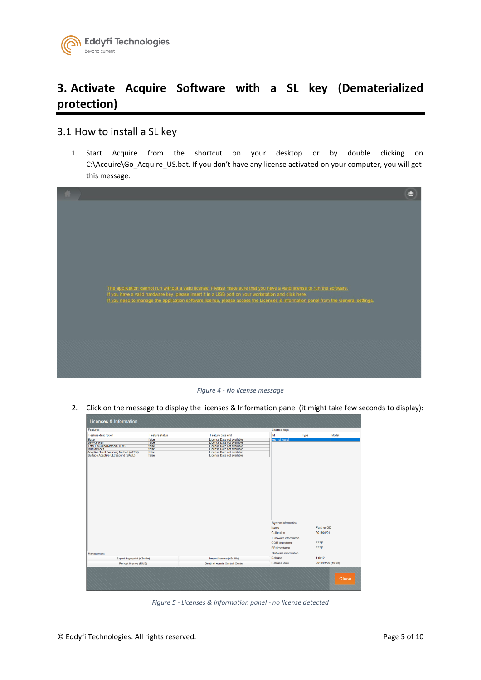

# <span id="page-4-0"></span>**3. Activate Acquire Software with a SL key (Dematerialized protection)**

### <span id="page-4-1"></span>3.1 How to install a SL key

1. Start Acquire from the shortcut on your desktop or by double clicking on C:\Acquire\Go\_Acquire\_US.bat. If you don't have any license activated on your computer, you will get this message:



*Figure 4 - No license message*

2. Click on the message to display the licenses & Information panel (it might take few seconds to display):

| Feature description                                                         |                |                            | Licence keys         |             |
|-----------------------------------------------------------------------------|----------------|----------------------------|----------------------|-------------|
|                                                                             | Feature status | Feature date end           | kd<br>Type           | Model       |
| Base                                                                        | false          | License Date not available | key not found        |             |
| Service plan                                                                | false          | License Date not available |                      |             |
| <b>Total Focusing Method (TFM)</b>                                          | false          | License Date not available |                      |             |
| Multi devices                                                               | false          | License Date not available |                      |             |
| Adaptive Total Focusing Method (ATFM)<br>Surface Adaptive ULtrasound (SAUL) | false          | License Date not available |                      |             |
|                                                                             | false          | License Date not available |                      |             |
|                                                                             |                |                            | System information   |             |
|                                                                             |                |                            |                      |             |
|                                                                             |                |                            | Name                 | Panther 000 |
|                                                                             |                |                            | Calibration          | 2018/01/01  |
|                                                                             |                |                            | Firmware information |             |
|                                                                             |                |                            | COM timestamp        | <b>FFFF</b> |
|                                                                             |                |                            |                      |             |
|                                                                             |                |                            | ER timestamp         | <b>FFFF</b> |
|                                                                             |                |                            | Software information |             |
| Management<br>Export fingerprint (c2v file)                                 |                | Import licence (v2c file)  | Release              | 1.0a12      |

*Figure 5 - Licenses & Information panel - no license detected*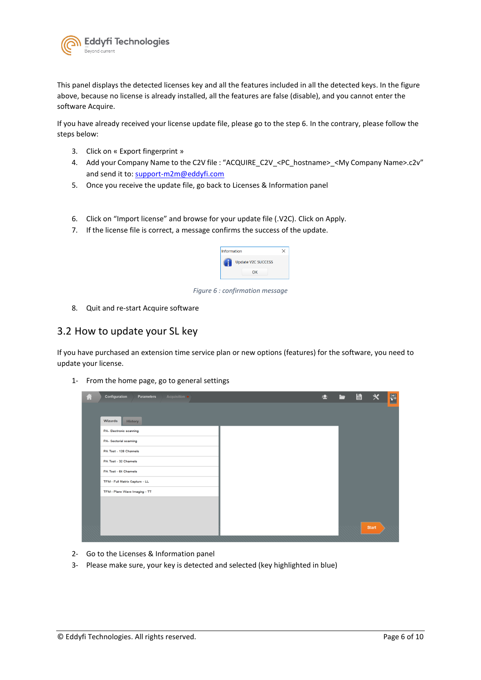

This panel displays the detected licenses key and all the features included in all the detected keys. In the figure above, because no license is already installed, all the features are false (disable), and you cannot enter the software Acquire.

If you have already received your license update file, please go to the step 6. In the contrary, please follow the steps below:

- 3. Click on « Export fingerprint »
- 4. Add your Company Name to the C2V file : "ACQUIRE\_C2V\_<PC\_hostname>\_<My Company Name>.c2v" and send it to[: support-m2m@eddyfi.com](mailto:support-m2m@eddyfi.com)
- 5. Once you receive the update file, go back to Licenses & Information panel
- 6. Click on "Import license" and browse for your update file (.V2C). Click on Apply.
- 7. If the license file is correct, a message confirms the success of the update.



*Figure 6 : confirmation message*

8. Quit and re-start Acquire software

### <span id="page-5-0"></span>3.2 How to update your SL key

If you have purchased an extension time service plan or new options (features) for the software, you need to update your license.

1- From the home page, go to general settings

| Ы | Configuration<br>Acquisition .<br><b>Parameters</b> | şО | − | 一目 | $\mathbf{x}$ | 圆 |
|---|-----------------------------------------------------|----|---|----|--------------|---|
|   |                                                     |    |   |    |              |   |
|   | Wizards<br><b>History</b>                           |    |   |    |              |   |
|   | PA- Electronic scanning                             |    |   |    |              |   |
|   | PA- Sectorial scanning                              |    |   |    |              |   |
|   | PA Test - 128 Channels                              |    |   |    |              |   |
|   | PA Test - 32 Channels                               |    |   |    |              |   |
|   | PA Test - 64 Channels                               |    |   |    |              |   |
|   | TFM - Full Matrix Capture - LL                      |    |   |    |              |   |
|   | TFM - Plane Wave Imaging - TT                       |    |   |    |              |   |
|   |                                                     |    |   |    |              |   |
|   |                                                     |    |   |    |              |   |
|   |                                                     |    |   |    | <b>Start</b> |   |

- 2- Go to the Licenses & Information panel
- 3- Please make sure, your key is detected and selected (key highlighted in blue)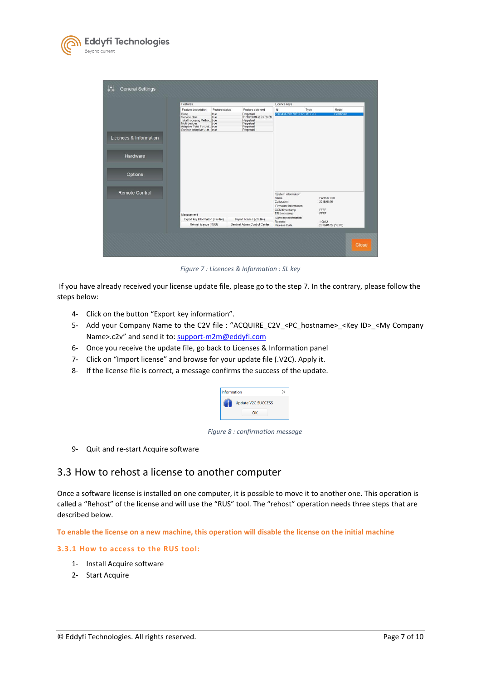

|                        |                                                                                                                        |                        |                                                         | Licence keys                                          |                              |  |
|------------------------|------------------------------------------------------------------------------------------------------------------------|------------------------|---------------------------------------------------------|-------------------------------------------------------|------------------------------|--|
|                        | Feature description<br>Base                                                                                            | Feature status<br>true | Feature date end<br>Perpetual<br>31/10/2019 at 23:59:59 | Id<br>206343476617051912 HASP-SL                      | Model<br>Type<br>Certificate |  |
|                        | Service plan<br>Total Focusing Metho true<br>Multi devices<br>Adaptive Total Focusi true<br>Surface Adaptive ULtr true |                        | Perpetual<br>Perpetual<br>Perpetual<br>Perpetual        |                                                       |                              |  |
| Licences & Information |                                                                                                                        |                        |                                                         |                                                       |                              |  |
| Hardware               |                                                                                                                        |                        |                                                         |                                                       |                              |  |
| Options                |                                                                                                                        |                        |                                                         |                                                       |                              |  |
| <b>Remote Control</b>  |                                                                                                                        |                        |                                                         | System information<br>Name<br>Calibration             | Panther 000<br>2018/01/01    |  |
|                        |                                                                                                                        |                        |                                                         | Firmware information<br>COM timestamp<br>ER timestamp | FFFF<br>FFFF                 |  |
|                        |                                                                                                                        |                        |                                                         | Software information                                  |                              |  |
|                        | Management<br>Export key Information (c2v file)                                                                        |                        | Import licence (v2c file)                               |                                                       |                              |  |

*Figure 7 : Licences & Information : SL key*

If you have already received your license update file, please go to the step 7. In the contrary, please follow the steps below:

- 4- Click on the button "Export key information".
- 5- Add your Company Name to the C2V file : "ACQUIRE\_C2V\_<PC\_hostname>\_<Key ID>\_<My Company Name>.c2v" and send it to: [support-m2m@eddyfi.com](mailto:support-m2m@eddyfi.com)
- 6- Once you receive the update file, go back to Licenses & Information panel
- 7- Click on "Import license" and browse for your update file (.V2C). Apply it.
- 8- If the license file is correct, a message confirms the success of the update.

| Information |                           |  |
|-------------|---------------------------|--|
|             | <b>Update V2C SUCCESS</b> |  |
|             | ΩK                        |  |

*Figure 8 : confirmation message*

9- Quit and re-start Acquire software

### <span id="page-6-0"></span>3.3 How to rehost a license to another computer

Once a software license is installed on one computer, it is possible to move it to another one. This operation is called a "Rehost" of the license and will use the "RUS" tool. The "rehost" operation needs three steps that are described below.

**To enable the license on a new machine, this operation will disable the license on the initial machine**

#### <span id="page-6-1"></span>**3.3.1 How to access to the RUS tool:**

- 1- Install Acquire software
- 2- Start Acquire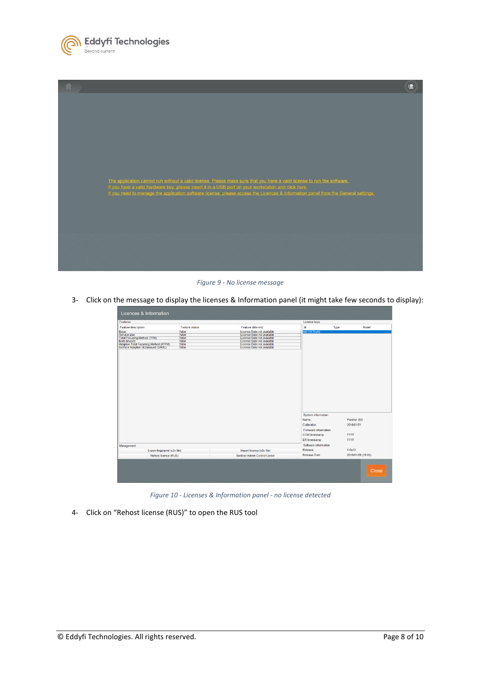

| The application cannot run without a valid license. Please make sure that you have a valid license to run the software.                                                                                                                   |  |
|-------------------------------------------------------------------------------------------------------------------------------------------------------------------------------------------------------------------------------------------|--|
| If you have a valid hardware key, please insert it in a USB port on your workstation and click here,<br>If you need to manage the application software license, please access the Licences & Information panel from the General settings. |  |
|                                                                                                                                                                                                                                           |  |
|                                                                                                                                                                                                                                           |  |
|                                                                                                                                                                                                                                           |  |
|                                                                                                                                                                                                                                           |  |
|                                                                                                                                                                                                                                           |  |

*Figure 9 - No license message*

3- Click on the message to display the licenses & Information panel (it might take few seconds to display):

| Features                              |                |                               | Licence keys         |                    |
|---------------------------------------|----------------|-------------------------------|----------------------|--------------------|
| Feature description                   | Feature status | Feature date end              | Id<br>Type           | Model              |
| Base                                  | false          | License Date not available    | key not found        |                    |
| Service plan                          | false          | License Date not available    |                      |                    |
| <b>Total Focusing Method (TFM)</b>    | false          | License Date not available    |                      |                    |
| Multi devices                         | false          | License Date not available    |                      |                    |
| Adaptive Total Focusing Method (ATFM) | false          | License Date not available    |                      |                    |
| Surface Adaptive ULtrasound (SAUL)    | false          | License Date not available    |                      |                    |
|                                       |                |                               |                      |                    |
|                                       |                |                               | System information   |                    |
|                                       |                |                               | Name                 | Panther 000        |
|                                       |                |                               | Calibration          | 2018/01/01         |
|                                       |                |                               |                      |                    |
|                                       |                |                               | Firmware information |                    |
|                                       |                |                               | COM timestamp        | <b>FFFF</b>        |
|                                       |                |                               | ER timestamp         | <b>FFFF</b>        |
| Management                            |                |                               | Software information |                    |
| Export fingerprint (c2v file)         |                | Import licence (v2c file)     | Release              | 1.0a12             |
| Rehost licence (RUS)                  |                | Sentinel Admin Control Center | <b>Release Date</b>  | 2019/01/29 (18:03) |
|                                       |                |                               |                      |                    |
|                                       |                |                               |                      | <b>Close</b>       |

*Figure 10 - Licenses & Information panel - no license detected*

4- Click on "Rehost license (RUS)" to open the RUS tool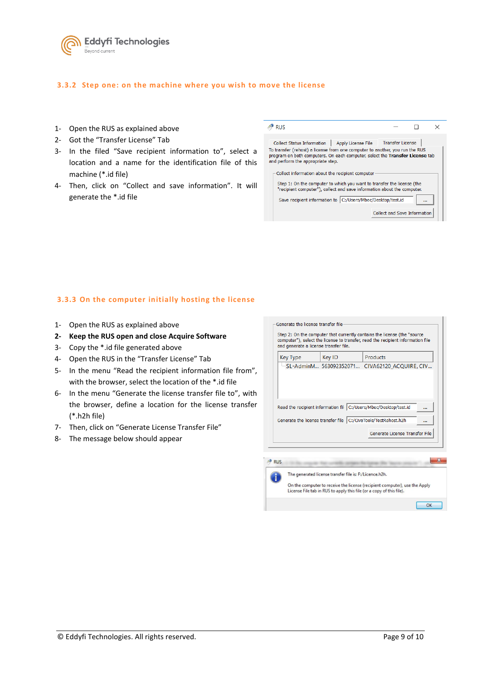

#### <span id="page-8-0"></span>**3.3.2 Step one: on the machine where you wish to move the license**

- 1- Open the RUS as explained above
- 2- Got the "Transfer License" Tab
- 3- In the filed "Save recipient information to", select a location and a name for the identification file of this machine (\*.id file)
- 4- Then, click on "Collect and save information". It will generate the \*.id file

| <b>RUS</b>                                                                                                                                                                                                                                                                                                                                                                                                                                                                                                                                              |                                     |  |
|---------------------------------------------------------------------------------------------------------------------------------------------------------------------------------------------------------------------------------------------------------------------------------------------------------------------------------------------------------------------------------------------------------------------------------------------------------------------------------------------------------------------------------------------------------|-------------------------------------|--|
| Apply License File Transfer License<br><b>Collect Status Information</b><br>To transfer (rehost) a license from one computer to another, you run the RUS<br>program on both computers. On each computer, select the Transfer License tab<br>and perform the appropriate step.<br>Collect information about the recipient computer<br>Step 1: On the computer to which you want to transfer the license (the<br>"recipient computer"), collect and save information about the computer.<br>Save recipient information to   C:/Users/Mbec/Desktop/test.id | <b>Collect and Save Information</b> |  |
|                                                                                                                                                                                                                                                                                                                                                                                                                                                                                                                                                         |                                     |  |

#### <span id="page-8-1"></span>**3.3.3 On the computer initially hosting the license**

- 1- Open the RUS as explained above
- **2- Keep the RUS open and close Acquire Software**
- 3- Copy the \*.id file generated above
- 4- Open the RUS in the "Transfer License" Tab
- 5- In the menu "Read the recipient information file from", with the browser, select the location of the \*.id file
- 6- In the menu "Generate the license transfer file to", with the browser, define a location for the license transfer (\*.h2h file)
- 7- Then, click on "Generate License Transfer File"
- 8- The message below should appear

| Key Type   | Key ID                                                  | <b>Products</b>                                                  |
|------------|---------------------------------------------------------|------------------------------------------------------------------|
|            |                                                         | SL-AdminM 563092352071 CIVA62120_ACQUIRE, CIV                    |
|            |                                                         |                                                                  |
|            |                                                         |                                                                  |
|            |                                                         |                                                                  |
|            |                                                         |                                                                  |
|            |                                                         |                                                                  |
|            |                                                         |                                                                  |
|            |                                                         | Read the recipient information fil C:/Users/Mbec/Desktop/test.id |
|            |                                                         |                                                                  |
|            |                                                         | Generate the license transfer file   C:/CivaTools/TestRehost.h2h |
|            |                                                         | Generate License Transfer File                                   |
|            |                                                         |                                                                  |
|            |                                                         |                                                                  |
|            |                                                         |                                                                  |
|            |                                                         |                                                                  |
|            |                                                         |                                                                  |
|            |                                                         |                                                                  |
| <b>RUS</b> |                                                         |                                                                  |
|            | The generated license transfer file is: F:/Licence.h2h. |                                                                  |

 $\overline{\text{OK}}$